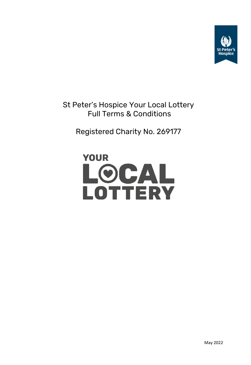

St Peter's Hospice Your Local Lottery Full Terms & Conditions

Registered Charity No. 269177

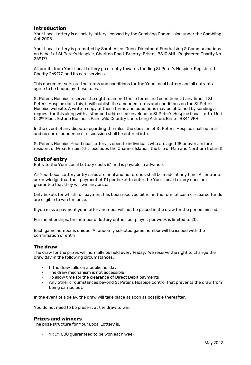## **Introduction**

Your Local Lottery is a society lottery licensed by the Gambling Commission under the Gambling Act 2005.

Your Local Lottery is promoted by Sarah Allen-Gunn, Director of Fundraising & Communications on behalf of St Peter's Hospice, Charlton Road, Brentry, Bristol, BS10 6NL. Registered Charity No 269177.

All profits from Your Local Lottery go directly towards funding St Peter's Hospice, Registered Charity 269177, and its care services.

This document sets out the terms and conditions for the Your Local Lottery and all entrants agree to be bound by these rules.

St Peter's Hospice reserves the right to amend these terms and conditions at any time. If St Peter's Hospice does this, it will publish the amended terms and conditions on the St Peter's Hospice website. A written copy of these terms and conditions may be obtained by sending a request for this along with a stamped addressed envelope to St Peter's Hospice Local Lotto, Unit C, 2nd Floor, Estune Business Park, Wild Country Lane, Long Ashton, Bristol BS41 9FH.

In the event of any dispute regarding the rules, the decision of St Peter's Hospice shall be final and no correspondence or discussion shall be entered into.

St Peter's Hospice Your Local Lottery is open to individuals who are aged 18 or over and are resident of Great Britain (this excludes the Channel Islands, the Isle of Man and Northern Ireland)

## **Cost of entry**

Entry to the Your Local Lottery costs £1 and is payable in advance.

All Your Local Lottery entry sales are final and no refunds shall be made at any time. All entrants acknowledge that their payment of £1 per ticket to enter the Your Local Lottery does not guarantee that they will win any prize.

Only tickets for which full payment has been received either in the form of cash or cleared funds are eligible to win the prize.

If you miss a payment your lottery number will not be placed in the draw for the period missed.

For memberships, the number of lottery entries per player, per week is limited to 20.

Each game number is unique. A randomly selected game number will be issued with the confirmation of entry.

## **The draw**

The draw for the prizes will normally be held every Friday. We reserve the right to change the draw day in the following circumstances:

- If the draw falls on a public holiday
- The draw mechanism is not accessible
- To allow time for the clearance of Direct Debit payments
- Any other circumstances beyond St Peter's Hospice control that prevents the draw from being carried out.

In the event of a delay, the draw will take place as soon as possible thereafter.

You do not need to be present at the draw to win.

#### **Prizes and winners**

The prize structure for Your Local Lottery is:

 $1 \times £1,000$  guaranteed to be won each week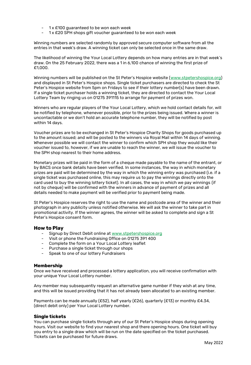- 1 x £100 guaranteed to be won each week
- 1 x £20 SPH shops gift voucher guaranteed to be won each week

Winning numbers are selected randomly by approved secure computer software from all the entries in that week's draw. A winning ticket can only be selected once in the same draw.

The likelihood of winning the Your Local Lottery depends on how many entries are in that week's draw. On the 25 February 2022, there was a 1 in 6,100 chance of winning the first prize of £1,000.

Winning numbers will be published on the St Peter's Hospice website ([www.stpetershospice.org\)](http://www.stpetershospice.org/) and displayed in St Peter's Hospice shops. Single ticket purchasers are directed to check the St Peter's Hospice website from 5pm on Fridays to see if their lottery number(s) have been drawn. If a single ticket purchaser holds a winning ticket, they are directed to contact the Your Local Lottery Team by ringing us on 01275 391115 to arrange for payment of prizes won.

Winners who are regular players of the Your Local Lottery, which we hold contact details for, will be notified by telephone, whenever possible, prior to the prizes being issued. Where a winner is uncontactable or we don't hold an accurate telephone number, they will be notified by post within 14 days.

Voucher prizes are to be exchanged in St Peter's Hospice Charity Shops for goods purchased up to the amount issued; and will be posted to the winners via Royal Mail within 14 days of winning. Whenever possible we will contact the winner to confirm which SPH shop they would like their voucher issued to, however, if we are unable to reach the winner, we will issue the voucher to the SPH shop nearest to their home address.

Monetary prizes will be paid in the form of a cheque made payable to the name of the entrant, or by BACS once bank details have been verified. In some instances, the way in which monetary prizes are paid will be determined by the way in which the winning entry was purchased (i.e. if a single ticket was purchased online, this may require us to pay the winnings directly onto the card used to buy the winning lottery ticket). In all cases, the way in which we pay winnings (if not by cheque) will be confirmed with the winners in advance of payment of prizes and all details needed to make payment will be verified prior to payment being made.

St Peter's Hospice reserves the right to use the name and postcode area of the winner and their photograph in any publicity unless notified otherwise. We will ask the winner to take part in promotional activity. If the winner agrees, the winner will be asked to complete and sign a St Peter's Hospice consent form.

## **How to Play**

- Signup by Direct Debit online at [www.stpetershospice.org](http://www.stpetershospice.org/)
- Visit or phone the Fundraising Office on 01275 391 400
- Complete the form on a Your Local Lottery leaflet
- Purchase a single ticket through our shops
- Speak to one of our lottery Fundraisers

## **Membership**

Once we have received and processed a lottery application, you will receive confirmation with your unique Your Local Lottery number.

Any member may subsequently request an alternative game number if they wish at any time, and this will be issued providing that it has not already been allocated to an existing member.

Payments can be made annually (£52), half yearly (£26), quarterly (£13) or monthly £4.34, (direct debit only) per Your Local Lottery number.

## **Single tickets**

You can purchase single tickets through any of our St Peter's Hospice shops during opening hours. Visit our website to find your nearest shop and there opening hours. One ticket will buy you entry to a single draw which will be run on the date specified on the ticket purchased. Tickets can be purchased for future draws.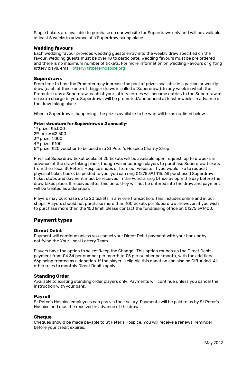Single tickets are available to purchase on our website for Superdraws only and will be available at least 6 weeks in advance of a Superdraw taking place.

#### **Wedding favours**

Each wedding favour provides wedding guests entry into the weekly draw specified on the favour. Wedding guests must be over 18 to participate. Wedding favours must be pre ordered and there is no maximum number of tickets. For more information on Wedding Favours or gifting lottery plays, email [lottery@stpeterhospice.org](mailto:lottery@stpeterhospice.org)

#### **Superdraws**

From time to time the Promoter may increase the pool of prizes available in a particular weekly draw (each of these one-off bigger draws is called a 'Superdraw'). In any week in which the Promoter runs a Superdraw, each of your lottery entries will become entries to the Superdraw at no extra charge to you. Superdraws will be promoted/announced at least 6 weeks in advance of the draw taking place.

When a Superdraw is happening, the prizes available to be won will be as outlined below.

#### **Prize structure for Superdraws x 2 annually**:

 st prize: £5,000 nd prize: £2,500 rd prize: 1,000 th prize: £100 th prize: £20 voucher to be used in a St Peter's Hospice Charity Shop

Physical Superdraw ticket books of 20 tickets will be available upon request, up to 6 weeks in advance of the draw taking place, though we encourage players to purchase Superdraw tickets from their local St Peter's Hospice shops or from our website. If you would like to request physical ticket books be posted to you, you can ring 01275 391 115. All purchased Superdraw ticket stubs and payment must be received in the Fundraising Office by 5pm the day before the draw takes place. If received after this time, they will not be entered into the draw and payment will be treated as a donation.

Players may purchase up to 20 tickets in any one transaction. This includes online and in our shops. Players should not purchase more than 100 tickets per Superdraw, however, if you wish to purchase more than the 100 limit, please contact the fundraising office on 01275 391400.

## **Payment types**

#### **Direct Debit**

Payment will continue unless you cancel your Direct Debit payment with your bank or by notifying the Your Local Lottery Team.

Players have the option to select 'Keep the Change'. This option rounds up the Direct Debit payment from £4.34 per number per month to £5 per number per month, with the additional 66p being treated as a donation. If the player is eligible this donation can also be Gift Aided. All other rules to monthly Direct Debits apply.

#### **Standing Order**

Available to existing standing order players only. Payments will continue unless you cancel the instruction with your bank.

#### **Payroll**

St Peter's Hospice employees can pay via their salary. Payments will be paid to us by St Peter's Hospice and must be received in advance of the draw.

#### **Cheque**

Cheques should be made payable to St Peter's Hospice. You will receive a renewal reminder before your credit expires.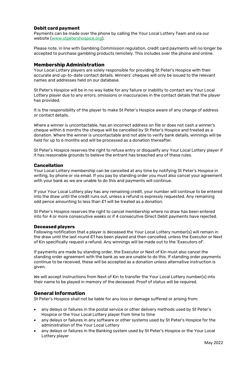## **Debit card payment**

Payments can be made over the phone by calling the Your Local Lottery Team and via our website [\(www.stpetershospice.org\)](http://www.stpetershospice.org/).

Please note, in line with Gambling Commission regulation, credit card payments will no longer be accepted to purchase gambling products remotely. This includes over the phone and online.

## **Membership Administration**

Your Local Lottery players are solely responsible for providing St Peter's Hospice with their accurate and up-to-date contact details. Winners' cheques will only be issued to the relevant names and addresses held on our database.

St Peter's Hospice will be in no way liable for any failure or inability to contact any Your Local Lottery player due to any errors, omissions or inaccuracies in the contact details that the player has provided.

It is the responsibility of the player to make St Peter's Hospice aware of any change of address or contact details.

Where a winner is uncontactable, has an incorrect address on file or does not cash a winner's cheque within 6 months the cheque will be cancelled by St Peter's Hospice and treated as a donation. Where the winner is uncontactable and not able to verify bank details, winnings will be held for up to 6 months and will be processed as a donation thereafter.

St Peter's Hospice reserves the right to refuse entry or disqualify any Your Local Lottery player if it has reasonable grounds to believe the entrant has breached any of these rules.

#### **Cancellation**

Your Local Lottery membership can be cancelled at any time by notifying St Peter's Hospice in writing, by phone or via email. If you pay by standing order you must also cancel your agreement with your bank as we are unable to do this and payments will continue.

If your Your Local Lottery play has any remaining credit, your number will continue to be entered into the draw until the credit runs out, unless a refund is expressly requested. Any remaining odd pence amounting to less than £1 will be treated as a donation.

St Peter's Hospice reserves the right to cancel membership where no draw has been entered into for 4 or more consecutive weeks or if 4 consecutive Direct Debit payments have rejected.

#### **Deceased players**

Following notification that a player is deceased the Your Local Lottery number(s) will remain in the draw until the last round £1 has been played and then cancelled, unless the Executor or Next of Kin specifically request a refund. Any winnings will be made out to the 'Executors of'.

If payments are made by standing order, the Executor or Next of Kin must also cancel the standing order agreement with the bank as we are unable to do this. If standing order payments continue to be received, these will be accepted as a donation unless alternative instruction is given.

We will accept instructions from Next of Kin to transfer the Your Local Lottery number(s) into their name to be played in memory of the deceased. Proof of status will be required.

# **General Information**

St Peter's Hospice shall not be liable for any loss or damage suffered or arising from:

- any delays or failures in the postal service or other delivery methods used by St Peter's Hospice or the Your Local Lottery player from time to time
- any delays or failures in any software or other systems used by St Peter's Hospice for the administration of the Your Local Lottery
- any delays or failures in the Banking system used by St Peter's Hospice or the Your Local Lottery player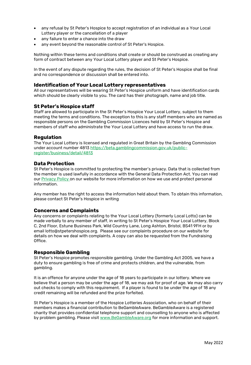- any refusal by St Peter's Hospice to accept registration of an individual as a Your Local Lottery player or the cancellation of a player
- any failure to enter a chance into the draw
- any event beyond the reasonable control of St Peter's Hospice.

Nothing within these terms and conditions shall create or should be construed as creating any form of contract between any Your Local Lottery player and St Peter's Hospice.

In the event of any dispute regarding the rules, the decision of St Peter's Hospice shall be final and no correspondence or discussion shall be entered into.

## **Identification of Your Local Lottery representatives**

All our representatives will be wearing St Peter's Hospice uniform and have identification cards which should be clearly visible to you. The card has their photograph, name and job title.

## **St Peter's Hospice staff**

Staff are allowed to participate in the St Peter's Hospice Your Local Lottery, subject to them meeting the terms and conditions. The exception to this is any staff members who are named as responsible persons on the Gambling Commission Licences held by St Peter's Hospice and members of staff who administrate the Your Local Lottery and have access to run the draw.

## **Regulation**

The Your Local Lottery is licensed and regulated in Great Britain by the Gambling Commission under account number 481[3 https://beta.gamblingcommission.gov.uk/public](https://beta.gamblingcommission.gov.uk/public-register/business/detail/4813)[register/business/detail/4813](https://beta.gamblingcommission.gov.uk/public-register/business/detail/4813)

# **Data Protection**

St Peter's Hospice is committed to protecting the member's privacy. Data that is collected from the member is used lawfully in accordance with the General Data Protection Act. You can read our [Privacy Policy](https://www.stpetershospice.org/privacy-policy/) on our website for more information on how we use and protect personal information.

Any member has the right to access the information held about them. To obtain this information, please contact St Peter's Hospice in writing

## **Concerns and Complaints**

Any concerns or complaints relating to the Your Local Lottery (formerly Local Lotto) can be made verbally to any member of staff, in writing to St Peter's Hospice Your Local Lottery, Block C, 2nd Floor, Estune Business Park, Wild Country Lane, Long Ashton, Bristol, BS41 9FH or by email lotto@stpetershospice.org. Please see our complaints procedure on our website for details on how we deal with complaints. A copy can also be requested from the Fundraising Office.

## **Responsible Gambling**

St Peter's Hospice promotes responsible gambling. Under the Gambling Act 2005, we have a duty to ensure gambling is free of crime and protects children, and the vulnerable, from gambling.

It is an offence for anyone under the age of 18 years to participate in our lottery. Where we believe that a person may be under the age of 18, we may ask for proof of age. We may also carry out checks to comply with this requirement. If a player is found to be under the age of 18 any credit remaining will be refunded and the prize forfeited.

St Peter's Hospice is a member of the Hospice Lotteries Association, who on behalf of their members makes a financial contribution to BeGambleAware. BeGambleAware is a registered charity that provides confidential telephone support and counselling to anyone who is affected by problem gambling. Please visit [www.BeGambleAware.org](http://www.begambleaware.org/) for more information and support.